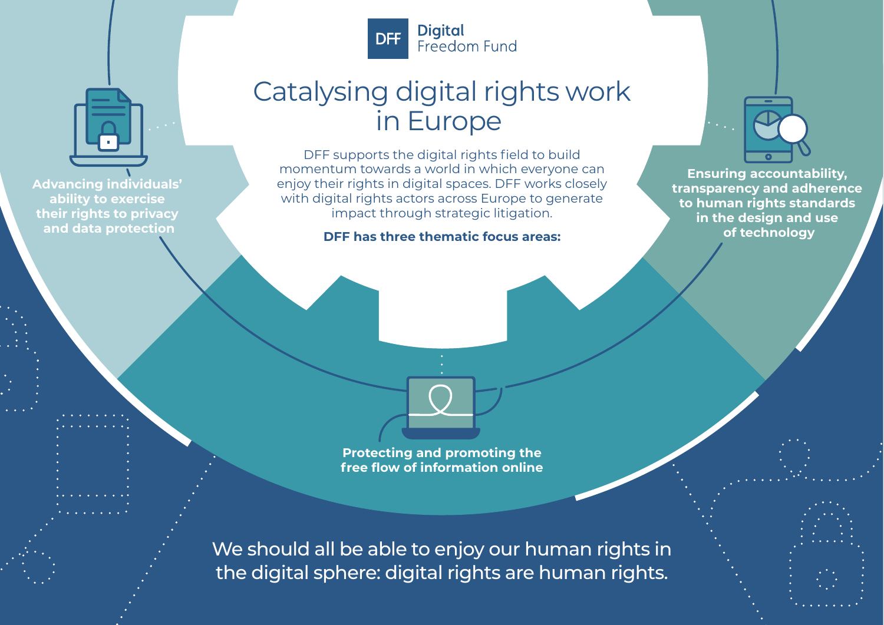

# Catalysing digital rights work in Europe

DFF supports the digital rights field to build momentum towards a world in which everyone can enjoy their rights in digital spaces. DFF works closely with digital rights actors across Europe to generate impact through strategic litigation.

**DFF has three thematic focus areas:**



**Ensuring accountability, transparency and adherence to human rights standards in the design and use of technology**

**Advancing individuals' ability to exercise their rights to privacy and data protection**

> **Protecting and promoting the free flow of information online**

We should all be able to enjoy our human rights in the digital sphere: digital rights are human rights.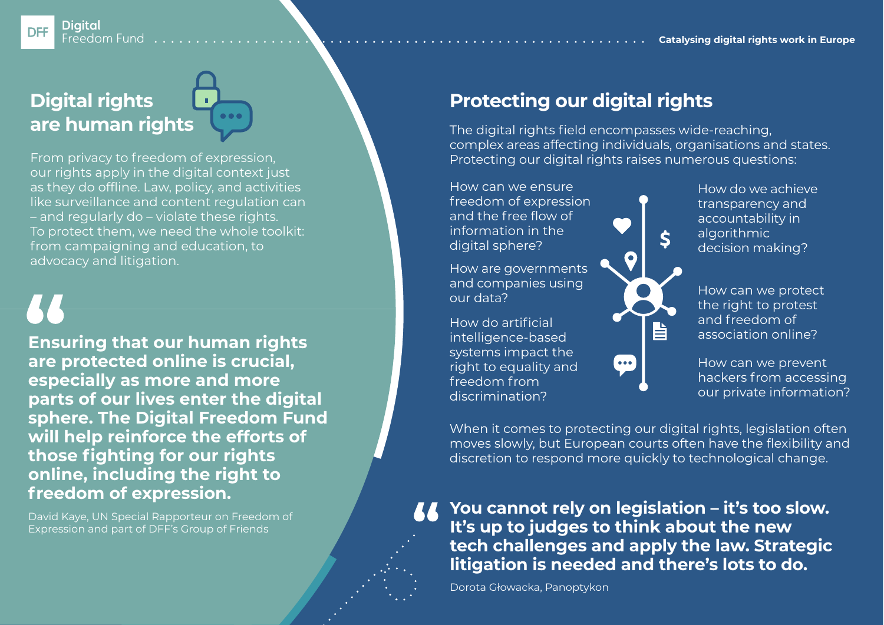### **Digital** Freedom Fund

# **Digital rights are human rights**

our rights apply in the digital context just as they do offline. Law, policy, and activities like surveillance and content regulation can – and regularly do – violate these rights. To protect them, we need the whole toolkit: from campaigning and education, to advocacy and litigation.

**DFF** 

**Ensuring that our human rights are protected online is crucial, especially as more and more parts of our lives enter the digital sphere. The Digital Freedom Fund will help reinforce the efforts of those fighting for our rights online, including the right to freedom of expression.**

David Kaye, UN Special Rapporteur on Freedom of Expression and part of DFF's Group of Friends

# **Protecting our digital rights**

The digital rights field encompasses wide-reaching, complex areas affecting individuals, organisations and states. From privacy to freedom of expression, Protecting our digital rights raises numerous questions:

> How can we ensure freedom of expression and the free flow of information in the digital sphere?

How are governments and companies using our data?

How do artificial intelligence-based systems impact the right to equality and freedom from discrimination?

How do we achieve transparency and accountability in algorithmic decision making?

How can we protect the right to protest and freedom of association online?

How can we prevent hackers from accessing our private information?

When it comes to protecting our digital rights, legislation often moves slowly, but European courts often have the flexibility and discretion to respond more quickly to technological change.

旨

**You cannot rely on legislation – it's too slow. It's up to judges to think about the new tech challenges and apply the law. Strategic litigation is needed and there's lots to do.**

Dorota Głowacka, Panoptykon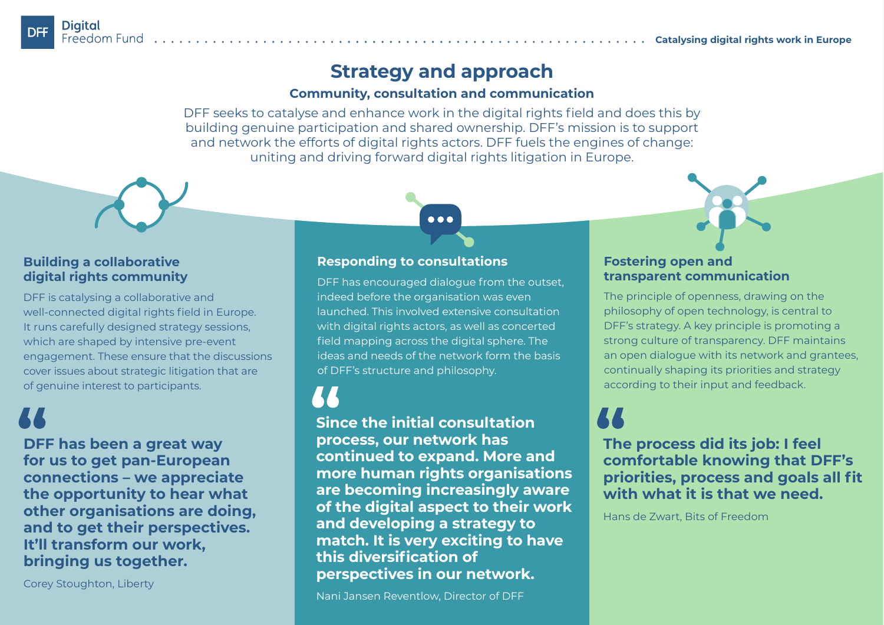## **Strategy and approach**

## **Community, consultation and communication**

DFF seeks to catalyse and enhance work in the digital rights field and does this by building genuine participation and shared ownership. DFF's mission is to support and network the efforts of digital rights actors. DFF fuels the engines of change: uniting and driving forward digital rights litigation in Europe.

## **Building a collaborative digital rights community**

DFF is catalysing a collaborative and well-connected digital rights field in Europe. It runs carefully designed strategy sessions, which are shaped by intensive pre-event engagement. These ensure that the discussions cover issues about strategic litigation that are of genuine interest to participants.

**DFF has been a great way for us to get pan-European connections – we appreciate the opportunity to hear what other organisations are doing, and to get their perspectives. It'll transform our work, bringing us together.**

Corey Stoughton, Liberty

## **Responding to consultations**

DFF has encouraged dialogue from the outset, indeed before the organisation was even launched. This involved extensive consultation with digital rights actors, as well as concerted field mapping across the digital sphere. The ideas and needs of the network form the basis of DFF's structure and philosophy.

**Since the initial consultation process, our network has continued to expand. More and more human rights organisations are becoming increasingly aware of the digital aspect to their work and developing a strategy to match. It is very exciting to have this diversification of perspectives in our network.**

### **Fostering open and transparent communication**

The principle of openness, drawing on the philosophy of open technology, is central to DFF's strategy. A key principle is promoting a strong culture of transparency. DFF maintains an open dialogue with its network and grantees, continually shaping its priorities and strategy according to their input and feedback.

**The process did its job: I feel comfortable knowing that DFF's priorities, process and goals all fit with what it is that we need.**

Hans de Zwart, Bits of Freedom